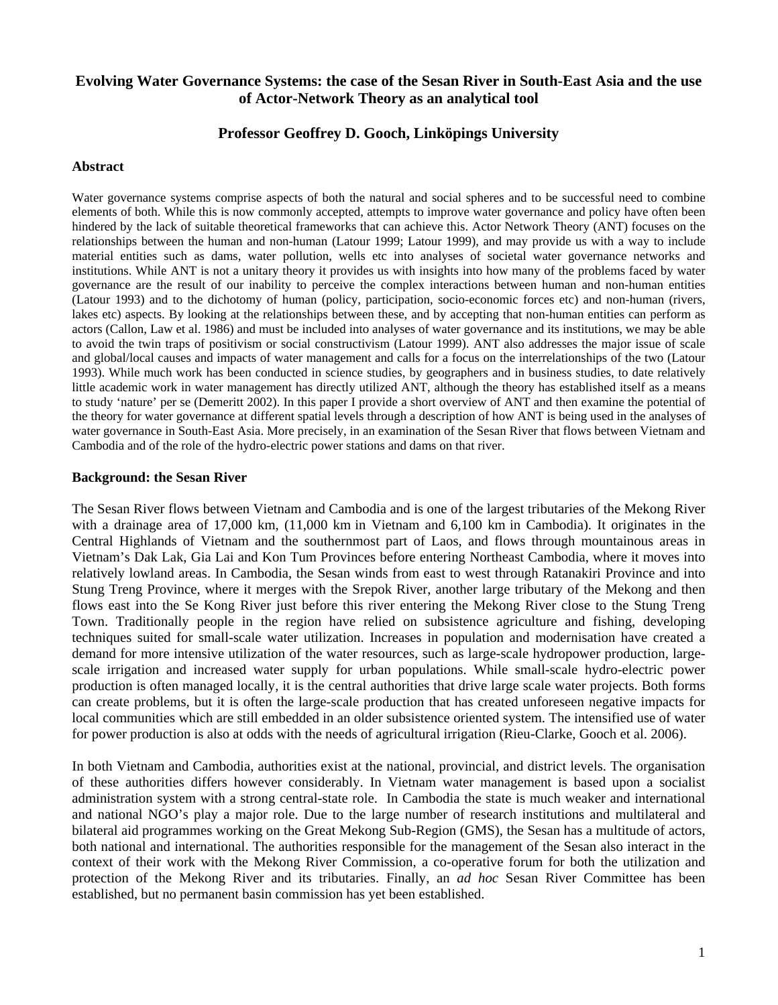# **Evolving Water Governance Systems: the case of the Sesan River in South-East Asia and the use of Actor-Network Theory as an analytical tool**

# **Professor Geoffrey D. Gooch, Linköpings University**

### **Abstract**

Water governance systems comprise aspects of both the natural and social spheres and to be successful need to combine elements of both. While this is now commonly accepted, attempts to improve water governance and policy have often been hindered by the lack of suitable theoretical frameworks that can achieve this. Actor Network Theory (ANT) focuses on the relationships between the human and non-human (Latour 1999; Latour 1999), and may provide us with a way to include material entities such as dams, water pollution, wells etc into analyses of societal water governance networks and institutions. While ANT is not a unitary theory it provides us with insights into how many of the problems faced by water governance are the result of our inability to perceive the complex interactions between human and non-human entities (Latour 1993) and to the dichotomy of human (policy, participation, socio-economic forces etc) and non-human (rivers, lakes etc) aspects. By looking at the relationships between these, and by accepting that non-human entities can perform as actors (Callon, Law et al. 1986) and must be included into analyses of water governance and its institutions, we may be able to avoid the twin traps of positivism or social constructivism (Latour 1999). ANT also addresses the major issue of scale and global/local causes and impacts of water management and calls for a focus on the interrelationships of the two (Latour 1993). While much work has been conducted in science studies, by geographers and in business studies, to date relatively little academic work in water management has directly utilized ANT, although the theory has established itself as a means to study 'nature' per se (Demeritt 2002). In this paper I provide a short overview of ANT and then examine the potential of the theory for water governance at different spatial levels through a description of how ANT is being used in the analyses of water governance in South-East Asia. More precisely, in an examination of the Sesan River that flows between Vietnam and Cambodia and of the role of the hydro-electric power stations and dams on that river.

### **Background: the Sesan River**

The Sesan River flows between Vietnam and Cambodia and is one of the largest tributaries of the Mekong River with a drainage area of 17,000 km,  $(11,000 \text{ km} \text{ in }$  Vietnam and 6,100 km in Cambodia). It originates in the Central Highlands of Vietnam and the southernmost part of Laos, and flows through mountainous areas in Vietnam's Dak Lak, Gia Lai and Kon Tum Provinces before entering Northeast Cambodia, where it moves into relatively lowland areas. In Cambodia, the Sesan winds from east to west through Ratanakiri Province and into Stung Treng Province, where it merges with the Srepok River, another large tributary of the Mekong and then flows east into the Se Kong River just before this river entering the Mekong River close to the Stung Treng Town. Traditionally people in the region have relied on subsistence agriculture and fishing, developing techniques suited for small-scale water utilization. Increases in population and modernisation have created a demand for more intensive utilization of the water resources, such as large-scale hydropower production, largescale irrigation and increased water supply for urban populations. While small-scale hydro-electric power production is often managed locally, it is the central authorities that drive large scale water projects. Both forms can create problems, but it is often the large-scale production that has created unforeseen negative impacts for local communities which are still embedded in an older subsistence oriented system. The intensified use of water for power production is also at odds with the needs of agricultural irrigation (Rieu-Clarke, Gooch et al. 2006).

In both Vietnam and Cambodia, authorities exist at the national, provincial, and district levels. The organisation of these authorities differs however considerably. In Vietnam water management is based upon a socialist administration system with a strong central-state role. In Cambodia the state is much weaker and international and national NGO's play a major role. Due to the large number of research institutions and multilateral and bilateral aid programmes working on the Great Mekong Sub-Region (GMS), the Sesan has a multitude of actors, both national and international. The authorities responsible for the management of the Sesan also interact in the context of their work with the Mekong River Commission, a co-operative forum for both the utilization and protection of the Mekong River and its tributaries. Finally, an *ad hoc* Sesan River Committee has been established, but no permanent basin commission has yet been established.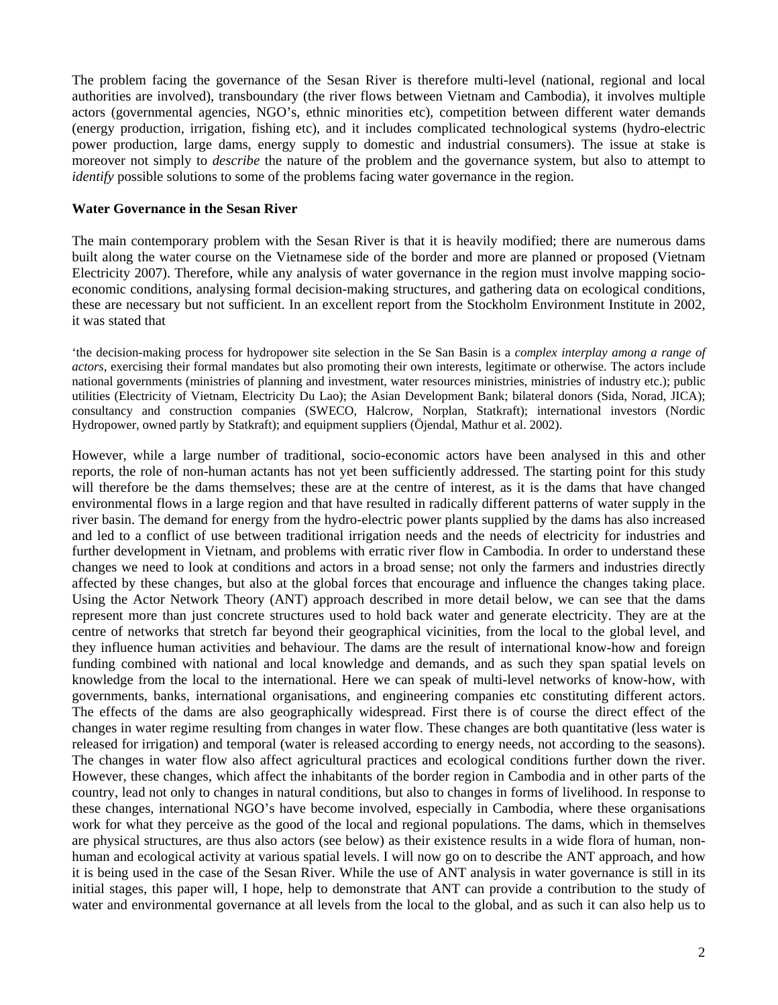The problem facing the governance of the Sesan River is therefore multi-level (national, regional and local authorities are involved), transboundary (the river flows between Vietnam and Cambodia), it involves multiple actors (governmental agencies, NGO's, ethnic minorities etc), competition between different water demands (energy production, irrigation, fishing etc), and it includes complicated technological systems (hydro-electric power production, large dams, energy supply to domestic and industrial consumers). The issue at stake is moreover not simply to *describe* the nature of the problem and the governance system, but also to attempt to *identify* possible solutions to some of the problems facing water governance in the region.

## **Water Governance in the Sesan River**

The main contemporary problem with the Sesan River is that it is heavily modified; there are numerous dams built along the water course on the Vietnamese side of the border and more are planned or proposed (Vietnam Electricity 2007). Therefore, while any analysis of water governance in the region must involve mapping socioeconomic conditions, analysing formal decision-making structures, and gathering data on ecological conditions, these are necessary but not sufficient. In an excellent report from the Stockholm Environment Institute in 2002, it was stated that

'the decision-making process for hydropower site selection in the Se San Basin is a *complex interplay among a range of actors*, exercising their formal mandates but also promoting their own interests, legitimate or otherwise. The actors include national governments (ministries of planning and investment, water resources ministries, ministries of industry etc.); public utilities (Electricity of Vietnam, Electricity Du Lao); the Asian Development Bank; bilateral donors (Sida, Norad, JICA); consultancy and construction companies (SWECO, Halcrow, Norplan, Statkraft); international investors (Nordic Hydropower, owned partly by Statkraft); and equipment suppliers (Öjendal, Mathur et al. 2002).

However, while a large number of traditional, socio-economic actors have been analysed in this and other reports, the role of non-human actants has not yet been sufficiently addressed. The starting point for this study will therefore be the dams themselves; these are at the centre of interest, as it is the dams that have changed environmental flows in a large region and that have resulted in radically different patterns of water supply in the river basin. The demand for energy from the hydro-electric power plants supplied by the dams has also increased and led to a conflict of use between traditional irrigation needs and the needs of electricity for industries and further development in Vietnam, and problems with erratic river flow in Cambodia. In order to understand these changes we need to look at conditions and actors in a broad sense; not only the farmers and industries directly affected by these changes, but also at the global forces that encourage and influence the changes taking place. Using the Actor Network Theory (ANT) approach described in more detail below, we can see that the dams represent more than just concrete structures used to hold back water and generate electricity. They are at the centre of networks that stretch far beyond their geographical vicinities, from the local to the global level, and they influence human activities and behaviour. The dams are the result of international know-how and foreign funding combined with national and local knowledge and demands, and as such they span spatial levels on knowledge from the local to the international. Here we can speak of multi-level networks of know-how, with governments, banks, international organisations, and engineering companies etc constituting different actors. The effects of the dams are also geographically widespread. First there is of course the direct effect of the changes in water regime resulting from changes in water flow. These changes are both quantitative (less water is released for irrigation) and temporal (water is released according to energy needs, not according to the seasons). The changes in water flow also affect agricultural practices and ecological conditions further down the river. However, these changes, which affect the inhabitants of the border region in Cambodia and in other parts of the country, lead not only to changes in natural conditions, but also to changes in forms of livelihood. In response to these changes, international NGO's have become involved, especially in Cambodia, where these organisations work for what they perceive as the good of the local and regional populations. The dams, which in themselves are physical structures, are thus also actors (see below) as their existence results in a wide flora of human, nonhuman and ecological activity at various spatial levels. I will now go on to describe the ANT approach, and how it is being used in the case of the Sesan River. While the use of ANT analysis in water governance is still in its initial stages, this paper will, I hope, help to demonstrate that ANT can provide a contribution to the study of water and environmental governance at all levels from the local to the global, and as such it can also help us to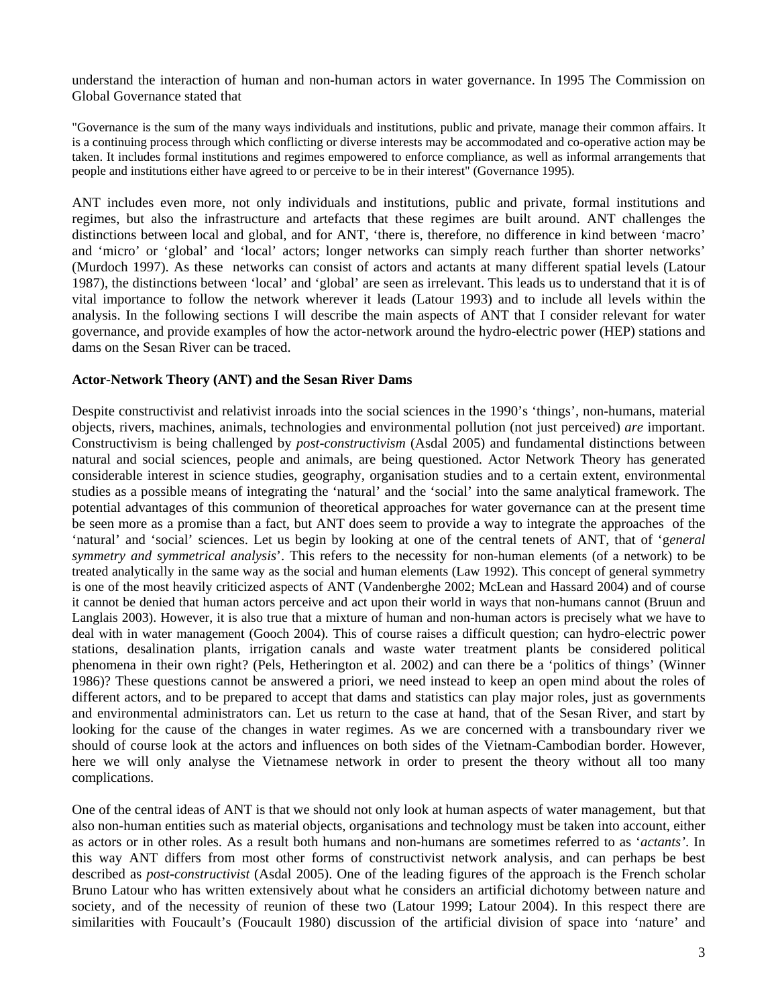understand the interaction of human and non-human actors in water governance. In 1995 The Commission on Global Governance stated that

"Governance is the sum of the many ways individuals and institutions, public and private, manage their common affairs. It is a continuing process through which conflicting or diverse interests may be accommodated and co-operative action may be taken. It includes formal institutions and regimes empowered to enforce compliance, as well as informal arrangements that people and institutions either have agreed to or perceive to be in their interest" (Governance 1995).

ANT includes even more, not only individuals and institutions, public and private, formal institutions and regimes, but also the infrastructure and artefacts that these regimes are built around. ANT challenges the distinctions between local and global, and for ANT, 'there is, therefore, no difference in kind between 'macro' and 'micro' or 'global' and 'local' actors; longer networks can simply reach further than shorter networks' (Murdoch 1997). As these networks can consist of actors and actants at many different spatial levels (Latour 1987), the distinctions between 'local' and 'global' are seen as irrelevant. This leads us to understand that it is of vital importance to follow the network wherever it leads (Latour 1993) and to include all levels within the analysis. In the following sections I will describe the main aspects of ANT that I consider relevant for water governance, and provide examples of how the actor-network around the hydro-electric power (HEP) stations and dams on the Sesan River can be traced.

## **Actor-Network Theory (ANT) and the Sesan River Dams**

Despite constructivist and relativist inroads into the social sciences in the 1990's 'things', non-humans, material objects, rivers, machines, animals, technologies and environmental pollution (not just perceived) *are* important. Constructivism is being challenged by *post-constructivism* (Asdal 2005) and fundamental distinctions between natural and social sciences, people and animals, are being questioned. Actor Network Theory has generated considerable interest in science studies, geography, organisation studies and to a certain extent, environmental studies as a possible means of integrating the 'natural' and the 'social' into the same analytical framework. The potential advantages of this communion of theoretical approaches for water governance can at the present time be seen more as a promise than a fact, but ANT does seem to provide a way to integrate the approaches of the 'natural' and 'social' sciences. Let us begin by looking at one of the central tenets of ANT, that of 'g*eneral symmetry and symmetrical analysis*'. This refers to the necessity for non-human elements (of a network) to be treated analytically in the same way as the social and human elements (Law 1992). This concept of general symmetry is one of the most heavily criticized aspects of ANT (Vandenberghe 2002; McLean and Hassard 2004) and of course it cannot be denied that human actors perceive and act upon their world in ways that non-humans cannot (Bruun and Langlais 2003). However, it is also true that a mixture of human and non-human actors is precisely what we have to deal with in water management (Gooch 2004). This of course raises a difficult question; can hydro-electric power stations, desalination plants, irrigation canals and waste water treatment plants be considered political phenomena in their own right? (Pels, Hetherington et al. 2002) and can there be a 'politics of things' (Winner 1986)? These questions cannot be answered a priori, we need instead to keep an open mind about the roles of different actors, and to be prepared to accept that dams and statistics can play major roles, just as governments and environmental administrators can. Let us return to the case at hand, that of the Sesan River, and start by looking for the cause of the changes in water regimes. As we are concerned with a transboundary river we should of course look at the actors and influences on both sides of the Vietnam-Cambodian border. However, here we will only analyse the Vietnamese network in order to present the theory without all too many complications.

One of the central ideas of ANT is that we should not only look at human aspects of water management, but that also non-human entities such as material objects, organisations and technology must be taken into account, either as actors or in other roles. As a result both humans and non-humans are sometimes referred to as '*actants'*. In this way ANT differs from most other forms of constructivist network analysis, and can perhaps be best described as *post-constructivist* (Asdal 2005). One of the leading figures of the approach is the French scholar Bruno Latour who has written extensively about what he considers an artificial dichotomy between nature and society, and of the necessity of reunion of these two (Latour 1999; Latour 2004). In this respect there are similarities with Foucault's (Foucault 1980) discussion of the artificial division of space into 'nature' and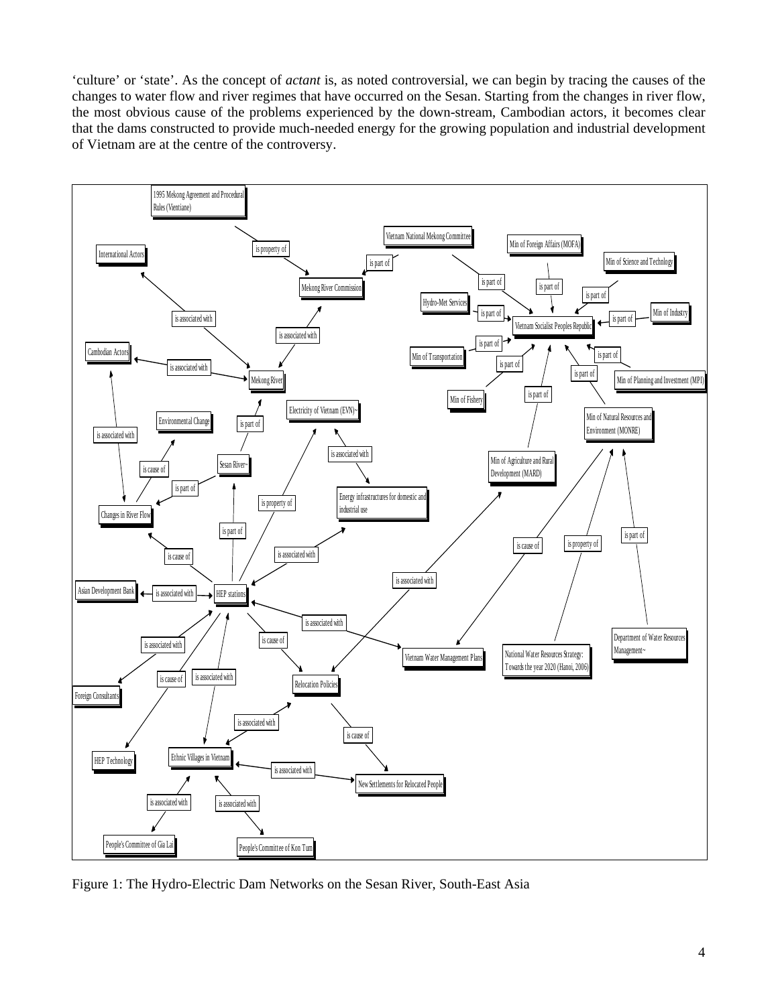'culture' or 'state'. As the concept of *actant* is, as noted controversial, we can begin by tracing the causes of the changes to water flow and river regimes that have occurred on the Sesan. Starting from the changes in river flow, the most obvious cause of the problems experienced by the down-stream, Cambodian actors, it becomes clear that the dams constructed to provide much-needed energy for the growing population and industrial development of Vietnam are at the centre of the controversy.



Figure 1: The Hydro-Electric Dam Networks on the Sesan River, South-East Asia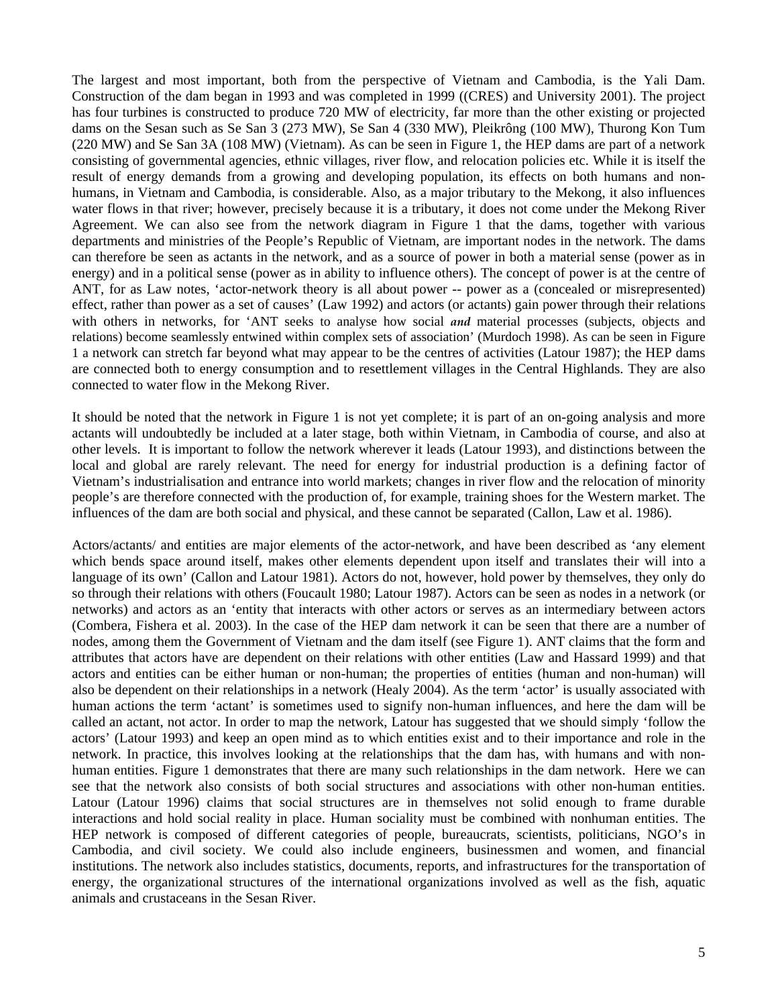The largest and most important, both from the perspective of Vietnam and Cambodia, is the Yali Dam. Construction of the dam began in 1993 and was completed in 1999 ((CRES) and University 2001). The project has four turbines is constructed to produce 720 MW of electricity, far more than the other existing or projected dams on the Sesan such as Se San 3 (273 MW), Se San 4 (330 MW), Pleikrông (100 MW), Thurong Kon Tum (220 MW) and Se San 3A (108 MW) (Vietnam). As can be seen in Figure 1, the HEP dams are part of a network consisting of governmental agencies, ethnic villages, river flow, and relocation policies etc. While it is itself the result of energy demands from a growing and developing population, its effects on both humans and nonhumans, in Vietnam and Cambodia, is considerable. Also, as a major tributary to the Mekong, it also influences water flows in that river; however, precisely because it is a tributary, it does not come under the Mekong River Agreement. We can also see from the network diagram in Figure 1 that the dams, together with various departments and ministries of the People's Republic of Vietnam, are important nodes in the network. The dams can therefore be seen as actants in the network, and as a source of power in both a material sense (power as in energy) and in a political sense (power as in ability to influence others). The concept of power is at the centre of ANT, for as Law notes, 'actor-network theory is all about power -- power as a (concealed or misrepresented) effect, rather than power as a set of causes' (Law 1992) and actors (or actants) gain power through their relations with others in networks, for 'ANT seeks to analyse how social *and* material processes (subjects, objects and relations) become seamlessly entwined within complex sets of association' (Murdoch 1998). As can be seen in Figure 1 a network can stretch far beyond what may appear to be the centres of activities (Latour 1987); the HEP dams are connected both to energy consumption and to resettlement villages in the Central Highlands. They are also connected to water flow in the Mekong River.

It should be noted that the network in Figure 1 is not yet complete; it is part of an on-going analysis and more actants will undoubtedly be included at a later stage, both within Vietnam, in Cambodia of course, and also at other levels. It is important to follow the network wherever it leads (Latour 1993), and distinctions between the local and global are rarely relevant. The need for energy for industrial production is a defining factor of Vietnam's industrialisation and entrance into world markets; changes in river flow and the relocation of minority people's are therefore connected with the production of, for example, training shoes for the Western market. The influences of the dam are both social and physical, and these cannot be separated (Callon, Law et al. 1986).

Actors/actants/ and entities are major elements of the actor-network, and have been described as 'any element which bends space around itself, makes other elements dependent upon itself and translates their will into a language of its own' (Callon and Latour 1981). Actors do not, however, hold power by themselves, they only do so through their relations with others (Foucault 1980; Latour 1987). Actors can be seen as nodes in a network (or networks) and actors as an 'entity that interacts with other actors or serves as an intermediary between actors (Combera, Fishera et al. 2003). In the case of the HEP dam network it can be seen that there are a number of nodes, among them the Government of Vietnam and the dam itself (see Figure 1). ANT claims that the form and attributes that actors have are dependent on their relations with other entities (Law and Hassard 1999) and that actors and entities can be either human or non-human; the properties of entities (human and non-human) will also be dependent on their relationships in a network (Healy 2004). As the term 'actor' is usually associated with human actions the term 'actant' is sometimes used to signify non-human influences, and here the dam will be called an actant, not actor. In order to map the network, Latour has suggested that we should simply 'follow the actors' (Latour 1993) and keep an open mind as to which entities exist and to their importance and role in the network. In practice, this involves looking at the relationships that the dam has, with humans and with nonhuman entities. Figure 1 demonstrates that there are many such relationships in the dam network. Here we can see that the network also consists of both social structures and associations with other non-human entities. Latour (Latour 1996) claims that social structures are in themselves not solid enough to frame durable interactions and hold social reality in place. Human sociality must be combined with nonhuman entities. The HEP network is composed of different categories of people, bureaucrats, scientists, politicians, NGO's in Cambodia, and civil society. We could also include engineers, businessmen and women, and financial institutions. The network also includes statistics, documents, reports, and infrastructures for the transportation of energy, the organizational structures of the international organizations involved as well as the fish, aquatic animals and crustaceans in the Sesan River.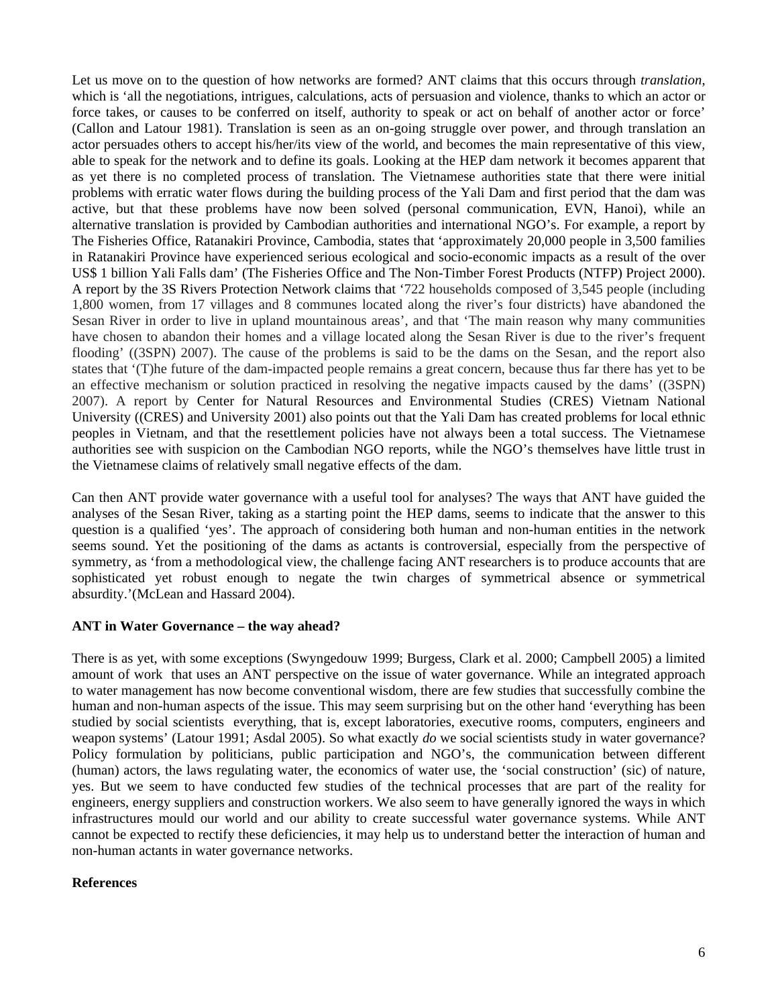Let us move on to the question of how networks are formed? ANT claims that this occurs through *translation*, which is 'all the negotiations, intrigues, calculations, acts of persuasion and violence, thanks to which an actor or force takes, or causes to be conferred on itself, authority to speak or act on behalf of another actor or force' (Callon and Latour 1981). Translation is seen as an on-going struggle over power, and through translation an actor persuades others to accept his/her/its view of the world, and becomes the main representative of this view, able to speak for the network and to define its goals. Looking at the HEP dam network it becomes apparent that as yet there is no completed process of translation. The Vietnamese authorities state that there were initial problems with erratic water flows during the building process of the Yali Dam and first period that the dam was active, but that these problems have now been solved (personal communication, EVN, Hanoi), while an alternative translation is provided by Cambodian authorities and international NGO's. For example, a report by The Fisheries Office, Ratanakiri Province, Cambodia, states that 'approximately 20,000 people in 3,500 families in Ratanakiri Province have experienced serious ecological and socio-economic impacts as a result of the over US\$ 1 billion Yali Falls dam' (The Fisheries Office and The Non-Timber Forest Products (NTFP) Project 2000). A report by the 3S Rivers Protection Network claims that '722 households composed of 3,545 people (including 1,800 women, from 17 villages and 8 communes located along the river's four districts) have abandoned the Sesan River in order to live in upland mountainous areas', and that 'The main reason why many communities have chosen to abandon their homes and a village located along the Sesan River is due to the river's frequent flooding' ((3SPN) 2007). The cause of the problems is said to be the dams on the Sesan, and the report also states that '(T)he future of the dam-impacted people remains a great concern, because thus far there has yet to be an effective mechanism or solution practiced in resolving the negative impacts caused by the dams' ((3SPN) 2007). A report by Center for Natural Resources and Environmental Studies (CRES) Vietnam National University ((CRES) and University 2001) also points out that the Yali Dam has created problems for local ethnic peoples in Vietnam, and that the resettlement policies have not always been a total success. The Vietnamese authorities see with suspicion on the Cambodian NGO reports, while the NGO's themselves have little trust in the Vietnamese claims of relatively small negative effects of the dam.

Can then ANT provide water governance with a useful tool for analyses? The ways that ANT have guided the analyses of the Sesan River, taking as a starting point the HEP dams, seems to indicate that the answer to this question is a qualified 'yes'. The approach of considering both human and non-human entities in the network seems sound. Yet the positioning of the dams as actants is controversial, especially from the perspective of symmetry, as 'from a methodological view, the challenge facing ANT researchers is to produce accounts that are sophisticated yet robust enough to negate the twin charges of symmetrical absence or symmetrical absurdity.'(McLean and Hassard 2004).

# **ANT in Water Governance – the way ahead?**

There is as yet, with some exceptions (Swyngedouw 1999; Burgess, Clark et al. 2000; Campbell 2005) a limited amount of work that uses an ANT perspective on the issue of water governance. While an integrated approach to water management has now become conventional wisdom, there are few studies that successfully combine the human and non-human aspects of the issue. This may seem surprising but on the other hand 'everything has been studied by social scientists everything, that is, except laboratories, executive rooms, computers, engineers and weapon systems' (Latour 1991; Asdal 2005). So what exactly *do* we social scientists study in water governance? Policy formulation by politicians, public participation and NGO's, the communication between different (human) actors, the laws regulating water, the economics of water use, the 'social construction' (sic) of nature, yes. But we seem to have conducted few studies of the technical processes that are part of the reality for engineers, energy suppliers and construction workers. We also seem to have generally ignored the ways in which infrastructures mould our world and our ability to create successful water governance systems. While ANT cannot be expected to rectify these deficiencies, it may help us to understand better the interaction of human and non-human actants in water governance networks.

### **References**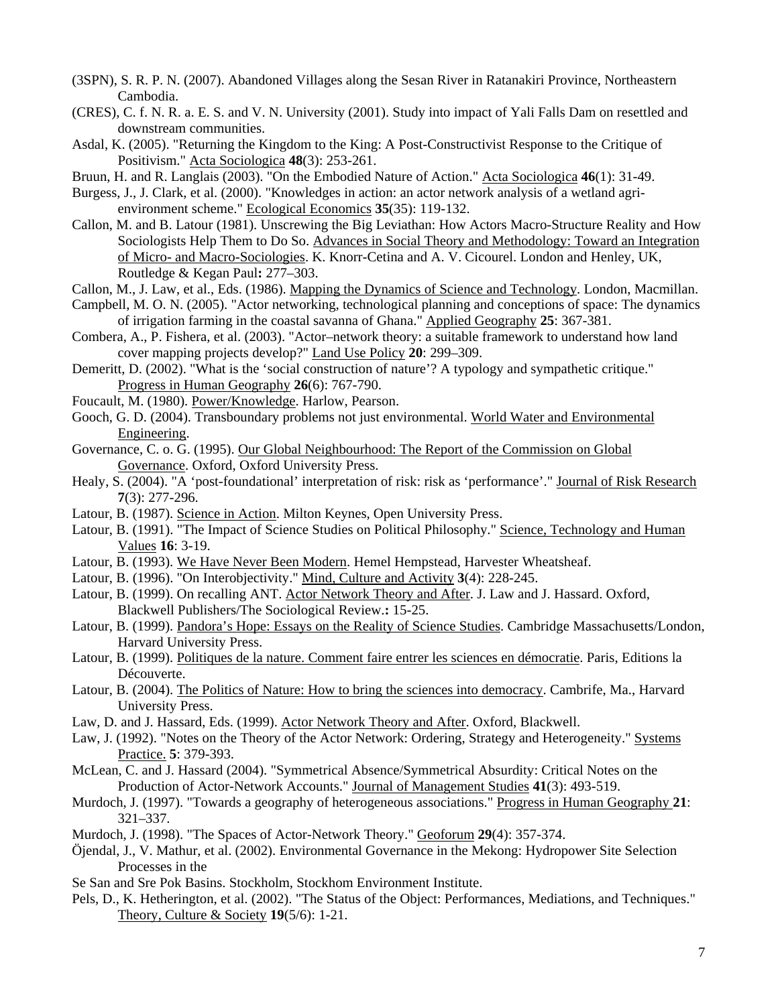- (3SPN), S. R. P. N. (2007). Abandoned Villages along the Sesan River in Ratanakiri Province, Northeastern Cambodia.
- (CRES), C. f. N. R. a. E. S. and V. N. University (2001). Study into impact of Yali Falls Dam on resettled and downstream communities.
- Asdal, K. (2005). "Returning the Kingdom to the King: A Post-Constructivist Response to the Critique of Positivism." Acta Sociologica **48**(3): 253-261.
- Bruun, H. and R. Langlais (2003). "On the Embodied Nature of Action." Acta Sociologica **46**(1): 31-49.
- Burgess, J., J. Clark, et al. (2000). "Knowledges in action: an actor network analysis of a wetland agrienvironment scheme." Ecological Economics **35**(35): 119-132.
- Callon, M. and B. Latour (1981). Unscrewing the Big Leviathan: How Actors Macro-Structure Reality and How Sociologists Help Them to Do So. Advances in Social Theory and Methodology: Toward an Integration of Micro- and Macro-Sociologies. K. Knorr-Cetina and A. V. Cicourel. London and Henley, UK, Routledge & Kegan Paul**:** 277–303.
- Callon, M., J. Law, et al., Eds. (1986). Mapping the Dynamics of Science and Technology. London, Macmillan.
- Campbell, M. O. N. (2005). "Actor networking, technological planning and conceptions of space: The dynamics of irrigation farming in the coastal savanna of Ghana." Applied Geography **25**: 367-381.
- Combera, A., P. Fishera, et al. (2003). "Actor–network theory: a suitable framework to understand how land cover mapping projects develop?" Land Use Policy **20**: 299–309.
- Demeritt, D. (2002). "What is the 'social construction of nature'? A typology and sympathetic critique." Progress in Human Geography **26**(6): 767-790.
- Foucault, M. (1980). Power/Knowledge. Harlow, Pearson.
- Gooch, G. D. (2004). Transboundary problems not just environmental. World Water and Environmental Engineering.
- Governance, C. o. G. (1995). Our Global Neighbourhood: The Report of the Commission on Global Governance. Oxford, Oxford University Press.
- Healy, S. (2004). "A 'post-foundational' interpretation of risk: risk as 'performance'." Journal of Risk Research **7**(3): 277-296.
- Latour, B. (1987). Science in Action. Milton Keynes, Open University Press.
- Latour, B. (1991). "The Impact of Science Studies on Political Philosophy." Science, Technology and Human Values **16**: 3-19.
- Latour, B. (1993). We Have Never Been Modern. Hemel Hempstead, Harvester Wheatsheaf.
- Latour, B. (1996). "On Interobjectivity." Mind, Culture and Activity **3**(4): 228-245.
- Latour, B. (1999). On recalling ANT. Actor Network Theory and After. J. Law and J. Hassard. Oxford, Blackwell Publishers/The Sociological Review.**:** 15-25.
- Latour, B. (1999). Pandora's Hope: Essays on the Reality of Science Studies. Cambridge Massachusetts/London, Harvard University Press.
- Latour, B. (1999). Politiques de la nature. Comment faire entrer les sciences en démocratie. Paris, Editions la Découverte.
- Latour, B. (2004). The Politics of Nature: How to bring the sciences into democracy. Cambrife, Ma., Harvard University Press.
- Law, D. and J. Hassard, Eds. (1999). Actor Network Theory and After. Oxford, Blackwell.
- Law, J. (1992). "Notes on the Theory of the Actor Network: Ordering, Strategy and Heterogeneity." Systems Practice. **5**: 379-393.
- McLean, C. and J. Hassard (2004). "Symmetrical Absence/Symmetrical Absurdity: Critical Notes on the Production of Actor-Network Accounts." Journal of Management Studies **41**(3): 493-519.
- Murdoch, J. (1997). "Towards a geography of heterogeneous associations." Progress in Human Geography **21**: 321–337.
- Murdoch, J. (1998). "The Spaces of Actor-Network Theory." Geoforum **29**(4): 357-374.
- Öjendal, J., V. Mathur, et al. (2002). Environmental Governance in the Mekong: Hydropower Site Selection Processes in the
- Se San and Sre Pok Basins. Stockholm, Stockhom Environment Institute.
- Pels, D., K. Hetherington, et al. (2002). "The Status of the Object: Performances, Mediations, and Techniques." Theory, Culture & Society **19**(5/6): 1-21.